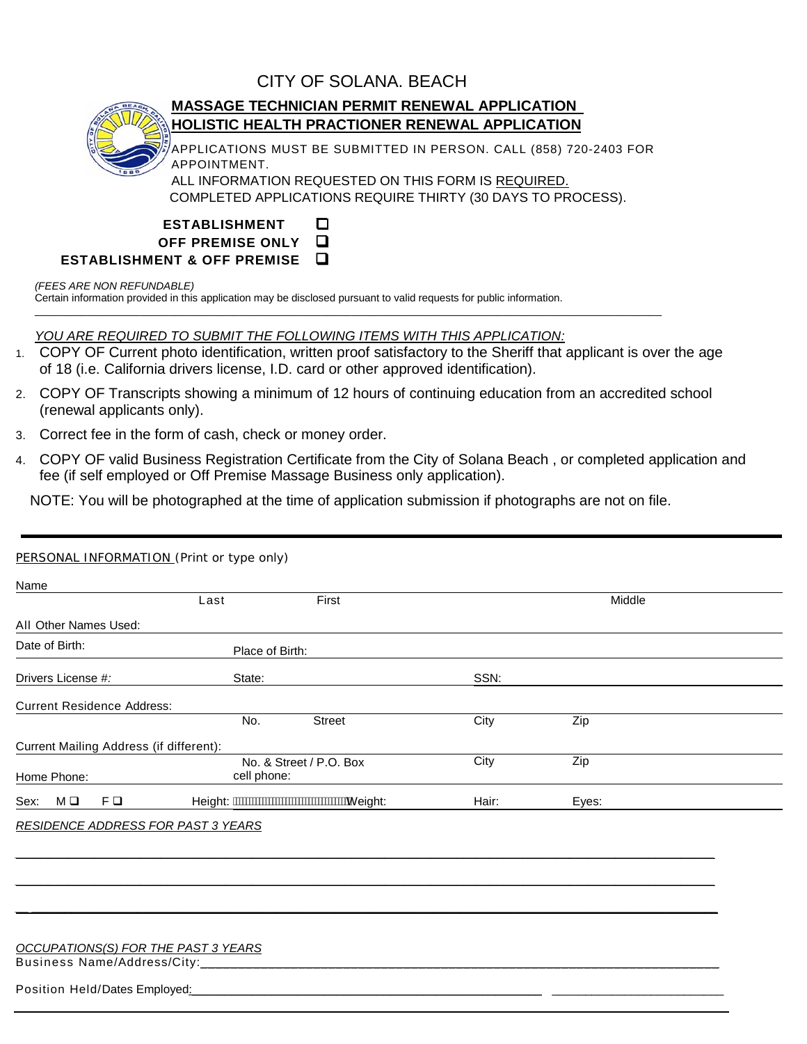# CITY OF SOLANA. BEACH



# **MASSAGE TECHNICIAN PERMIT RENEWAL APPLICATION HOLISTIC HEALTH PRACTIONER RENEWAL APPLICATION**

APPLICATIONS MUST BE SUBMITTED IN PERSON. CALL (858) 720-2403 FOR APPOINTMENT.

ALL INFORMATION REQUESTED ON THIS FORM IS <u>REQUIRED.</u> COMPLETED APPLICATIONS REQUIRE THIRTY (30 DAYS TO PROCESS).

| <b>ESTABLISHMENT</b>                              | ⊡ |
|---------------------------------------------------|---|
| OFF PREMISE ONLY Q                                |   |
| $\mathsf E$ STABLISHMENT & OFF PREMISE $\;\;\Box$ |   |

### *(FEES ARE NON REFUNDABLE)*

Certain information provided in this application may be disclosed pursuant to valid requests for public information.

## *YOU ARE REQUIRED TO SUBMIT THE FOLLOWING ITEMS WITH THIS APPLICATION:*

1. COPY OF Current photo identification, written proof satisfactory to the Sheriff that applicant is over the age of 18 (i.e. California drivers license, I.D. card or other approved identification).

\_\_\_\_\_\_\_\_\_\_\_\_\_\_\_\_\_\_\_\_\_\_\_\_\_\_\_\_\_\_\_\_\_\_\_\_\_\_\_\_\_\_\_\_\_\_\_\_\_\_\_\_\_\_\_\_\_\_\_\_\_\_\_\_\_\_\_\_\_\_\_\_\_\_\_\_\_\_\_\_\_\_\_\_\_\_\_\_\_\_\_\_\_\_\_\_\_\_\_\_\_\_\_\_\_\_\_

- 2. COPY OF Transcripts showing a minimum of 12 hours of continuing education from an accredited school (renewal applicants only).
- 3. Correct fee in the form of cash, check or money order.
- 4. COPY OF valid Business Registration Certificate from the City of Solana Beach , or completed application and fee (if self employed or Off Premise Massage Business only application).

NOTE: You will be photographed at the time of application submission if photographs are not on file.

|                                         | Last                                   | First  |       | Middle |  |
|-----------------------------------------|----------------------------------------|--------|-------|--------|--|
| All Other Names Used:                   |                                        |        |       |        |  |
| Date of Birth:                          | Place of Birth:                        |        |       |        |  |
| Drivers License #:                      | State:                                 |        | SSN:  |        |  |
| <b>Current Residence Address:</b>       |                                        |        |       |        |  |
|                                         | No.                                    | Street | City  | Zip    |  |
| Current Mailing Address (if different): |                                        |        |       |        |  |
| Home Phone:                             | No. & Street / P.O. Box<br>cell phone: |        | City  | Zip    |  |
| FQ<br>МO<br>Sex:                        |                                        |        | Hair: | Eyes:  |  |

*\_\_\_\_\_\_\_\_\_\_\_\_\_\_\_\_\_\_\_\_\_\_\_\_\_\_\_\_\_\_\_\_\_\_\_\_\_\_\_\_\_\_\_\_\_\_\_\_\_\_\_\_\_\_\_\_\_\_\_\_\_\_\_\_\_\_\_\_\_\_\_\_\_\_\_\_\_\_\_\_\_\_\_\_\_\_\_\_\_\_\_\_\_\_\_\_\_\_\_\_\_\_\_\_\_\_*

*\_\_\_\_\_\_\_\_\_\_\_\_\_\_\_\_\_\_\_\_\_\_\_\_\_\_\_\_\_\_\_\_\_\_\_\_\_\_\_\_\_\_\_\_\_\_\_\_\_\_\_\_\_\_\_\_\_\_\_\_\_\_\_\_\_\_\_\_\_\_\_\_\_\_\_\_\_\_\_\_\_\_\_\_\_\_\_\_\_\_\_\_\_\_\_\_\_\_\_\_\_\_\_\_\_\_*

*\_\_ \_\_\_\_\_\_\_\_\_\_\_\_\_\_\_\_\_\_\_\_\_\_\_\_\_\_\_\_\_\_\_\_\_\_\_\_\_\_\_\_\_\_\_\_\_\_\_\_\_\_\_\_\_\_\_\_\_\_\_\_\_\_\_\_\_\_\_\_\_\_\_\_\_\_\_\_\_\_\_\_\_\_\_\_\_\_\_\_\_\_\_\_\_\_\_\_\_\_\_\_\_\_\_\_*

#### Business Name/Address/City: *OCCUPATIONS(S) FOR THE PAST 3 YEARS* \_\_\_\_\_\_\_\_\_\_\_\_\_\_\_\_\_\_\_\_\_\_\_\_\_\_\_\_\_\_\_\_\_\_\_\_\_\_\_\_\_\_\_\_\_\_\_\_\_\_\_\_\_\_\_\_\_\_\_\_\_\_\_\_\_\_\_\_\_

### Position Held/Dates Employed: